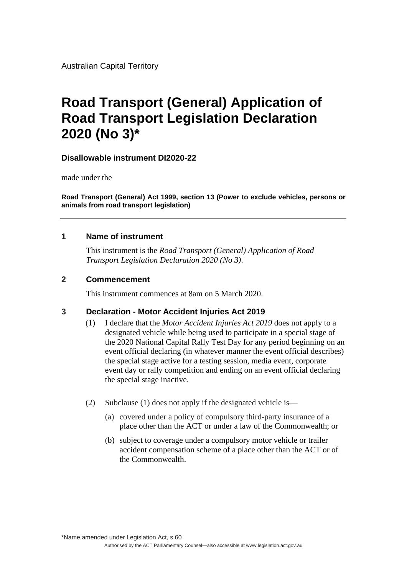Australian Capital Territory

# **Road Transport (General) Application of Road Transport Legislation Declaration 2020 (No 3)\***

### **Disallowable instrument DI2020-22**

made under the

**Road Transport (General) Act 1999, section 13 (Power to exclude vehicles, persons or animals from road transport legislation)**

### **1 Name of instrument**

This instrument is the *Road Transport (General) Application of Road Transport Legislation Declaration 2020 (No 3)*.

### **2 Commencement**

This instrument commences at 8am on 5 March 2020.

#### **3 Declaration - Motor Accident Injuries Act 2019**

- (1) I declare that the *Motor Accident Injuries Act 2019* does not apply to a designated vehicle while being used to participate in a special stage of the 2020 National Capital Rally Test Day for any period beginning on an event official declaring (in whatever manner the event official describes) the special stage active for a testing session, media event, corporate event day or rally competition and ending on an event official declaring the special stage inactive.
- (2) Subclause (1) does not apply if the designated vehicle is—
	- (a) covered under a policy of compulsory third-party insurance of a place other than the ACT or under a law of the Commonwealth; or
	- (b) subject to coverage under a compulsory motor vehicle or trailer accident compensation scheme of a place other than the ACT or of the Commonwealth.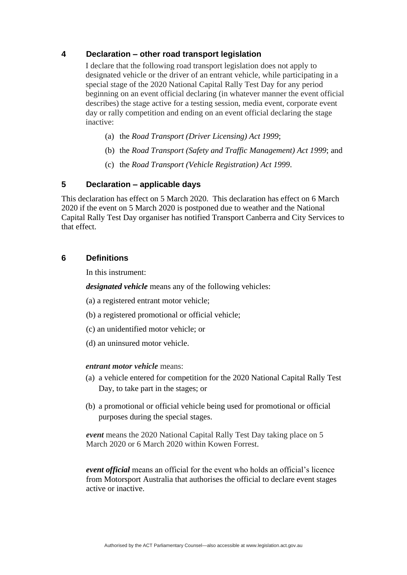# **4 Declaration – other road transport legislation**

I declare that the following road transport legislation does not apply to designated vehicle or the driver of an entrant vehicle, while participating in a special stage of the 2020 National Capital Rally Test Day for any period beginning on an event official declaring (in whatever manner the event official describes) the stage active for a testing session, media event, corporate event day or rally competition and ending on an event official declaring the stage inactive:

- (a) the *Road Transport (Driver Licensing) Act 1999*;
- (b) the *Road Transport (Safety and Traffic Management) Act 1999*; and
- (c) the *Road Transport (Vehicle Registration) Act 1999*.

# **5 Declaration – applicable days**

This declaration has effect on 5 March 2020. This declaration has effect on 6 March 2020 if the event on 5 March 2020 is postponed due to weather and the National Capital Rally Test Day organiser has notified Transport Canberra and City Services to that effect.

# **6 Definitions**

In this instrument:

*designated vehicle* means any of the following vehicles:

- (a) a registered entrant motor vehicle;
- (b) a registered promotional or official vehicle;
- (c) an unidentified motor vehicle; or
- (d) an uninsured motor vehicle.

#### *entrant motor vehicle* means:

- (a) a vehicle entered for competition for the 2020 National Capital Rally Test Day, to take part in the stages; or
- (b) a promotional or official vehicle being used for promotional or official purposes during the special stages.

*event* means the 2020 National Capital Rally Test Day taking place on 5 March 2020 or 6 March 2020 within Kowen Forrest.

*event official* means an official for the event who holds an official's licence from Motorsport Australia that authorises the official to declare event stages active or inactive.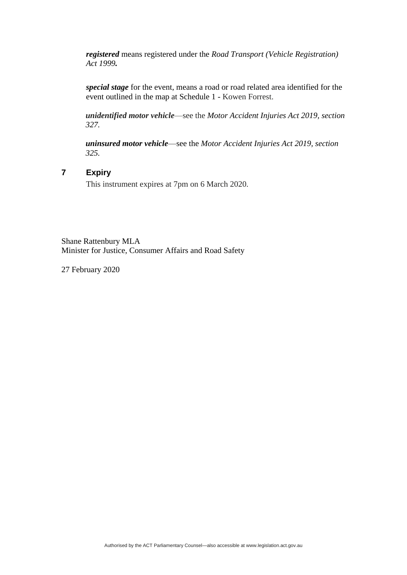*registered* means registered under the *Road Transport (Vehicle Registration) Act 1999.*

*special stage* for the event, means a road or road related area identified for the event outlined in the map at Schedule 1 - Kowen Forrest.

*unidentified motor vehicle*—see the *Motor Accident Injuries Act 2019, section 327.*

*uninsured motor vehicle*—see the *Motor Accident Injuries Act 2019, section 325.*

# **7 Expiry**

This instrument expires at 7pm on 6 March 2020.

Shane Rattenbury MLA Minister for Justice, Consumer Affairs and Road Safety

27 February 2020